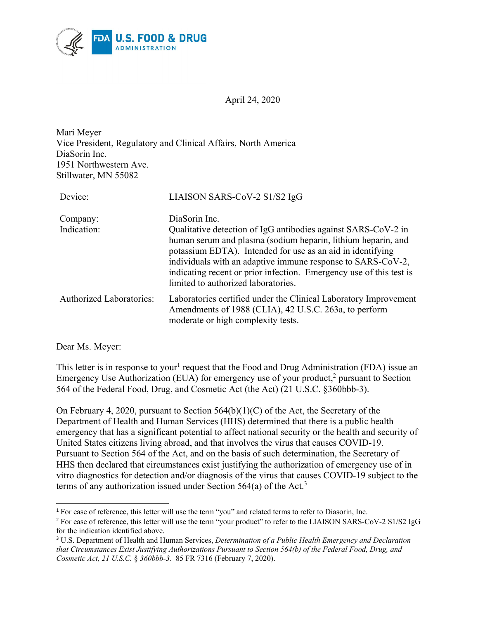

April 24, 2020

Mari Meyer Vice President, Regulatory and Clinical Affairs, North America DiaSorin Inc. 1951 Northwestern Ave. Stillwater, MN 55082

| Device:                         | LIAISON SARS-CoV-2 S1/S2 IgG                                                                                                                                                                                                                                                                                                                                                              |
|---------------------------------|-------------------------------------------------------------------------------------------------------------------------------------------------------------------------------------------------------------------------------------------------------------------------------------------------------------------------------------------------------------------------------------------|
| Company:<br>Indication:         | DiaSorin Inc.<br>Qualitative detection of IgG antibodies against SARS-CoV-2 in<br>human serum and plasma (sodium heparin, lithium heparin, and<br>potassium EDTA). Intended for use as an aid in identifying<br>individuals with an adaptive immune response to SARS-CoV-2,<br>indicating recent or prior infection. Emergency use of this test is<br>limited to authorized laboratories. |
| <b>Authorized Laboratories:</b> | Laboratories certified under the Clinical Laboratory Improvement<br>Amendments of 1988 (CLIA), 42 U.S.C. 263a, to perform<br>moderate or high complexity tests.                                                                                                                                                                                                                           |

Dear Ms. Meyer:

 $\overline{a}$ 

This letter is in response to your<sup>[1](#page-0-0)</sup> request that the Food and Drug Administration (FDA) issue an Emergency Use Authorization (EUA) for emergency use of your product,<sup>[2](#page-0-1)</sup> pursuant to Section 564 of the Federal Food, Drug, and Cosmetic Act (the Act) (21 U.S.C. §360bbb-3).

On February 4, 2020, pursuant to Section 564(b)(1)(C) of the Act, the Secretary of the Department of Health and Human Services (HHS) determined that there is a public health emergency that has a significant potential to affect national security or the health and security of United States citizens living abroad, and that involves the virus that causes COVID-19. Pursuant to Section 564 of the Act, and on the basis of such determination, the Secretary of HHS then declared that circumstances exist justifying the authorization of emergency use of in vitro diagnostics for detection and/or diagnosis of the virus that causes COVID-19 subject to the terms of any authorization issued under Section 564(a) of the Act.<sup>[3](#page-0-2)</sup>

<span id="page-0-0"></span><sup>&</sup>lt;sup>1</sup> For ease of reference, this letter will use the term "you" and related terms to refer to Diasorin, Inc.

<span id="page-0-1"></span><sup>&</sup>lt;sup>2</sup> For ease of reference, this letter will use the term "your product" to refer to the LIAISON SARS-CoV-2 S1/S2 IgG for the indication identified above.

<span id="page-0-2"></span><sup>3</sup> U.S. Department of Health and Human Services, *Determination of a Public Health Emergency and Declaration that Circumstances Exist Justifying Authorizations Pursuant to Section 564(b) of the Federal Food, Drug, and Cosmetic Act, 21 U.S.C.* § *360bbb-3*. 85 FR 7316 (February 7, 2020).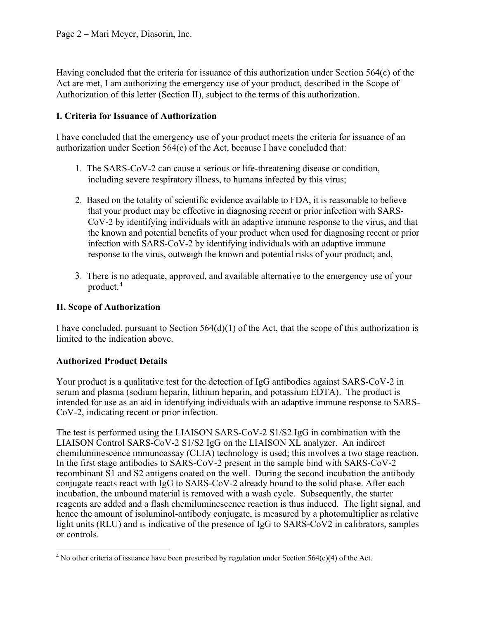Having concluded that the criteria for issuance of this authorization under Section 564(c) of the Act are met, I am authorizing the emergency use of your product, described in the Scope of Authorization of this letter (Section II), subject to the terms of this authorization.

### **I. Criteria for Issuance of Authorization**

I have concluded that the emergency use of your product meets the criteria for issuance of an authorization under Section 564(c) of the Act, because I have concluded that:

- 1. The SARS-CoV-2 can cause a serious or life-threatening disease or condition, including severe respiratory illness, to humans infected by this virus;
- 2. Based on the totality of scientific evidence available to FDA, it is reasonable to believe that your product may be effective in diagnosing recent or prior infection with SARS-CoV-2 by identifying individuals with an adaptive immune response to the virus, and that the known and potential benefits of your product when used for diagnosing recent or prior infection with SARS-CoV-2 by identifying individuals with an adaptive immune response to the virus, outweigh the known and potential risks of your product; and,
- 3. There is no adequate, approved, and available alternative to the emergency use of your product. [4](#page-1-0)

### **II. Scope of Authorization**

I have concluded, pursuant to Section 564(d)(1) of the Act, that the scope of this authorization is limited to the indication above.

### **Authorized Product Details**

Your product is a qualitative test for the detection of IgG antibodies against SARS-CoV-2 in serum and plasma (sodium heparin, lithium heparin, and potassium EDTA). The product is intended for use as an aid in identifying individuals with an adaptive immune response to SARS-CoV-2, indicating recent or prior infection.

The test is performed using the LIAISON SARS-CoV-2 S1/S2 IgG in combination with the LIAISON Control SARS-CoV-2 S1/S2 IgG on the LIAISON XL analyzer. An indirect chemiluminescence immunoassay (CLIA) technology is used; this involves a two stage reaction. In the first stage antibodies to SARS-CoV-2 present in the sample bind with SARS-CoV-2 recombinant S1 and S2 antigens coated on the well. During the second incubation the antibody conjugate reacts react with IgG to SARS-CoV-2 already bound to the solid phase. After each incubation, the unbound material is removed with a wash cycle. Subsequently, the starter reagents are added and a flash chemiluminescence reaction is thus induced. The light signal, and hence the amount of isoluminol-antibody conjugate, is measured by a photomultiplier as relative light units (RLU) and is indicative of the presence of IgG to SARS-CoV2 in calibrators, samples or controls.

<span id="page-1-0"></span> $\overline{a}$ <sup>4</sup> No other criteria of issuance have been prescribed by regulation under Section  $564(c)(4)$  of the Act.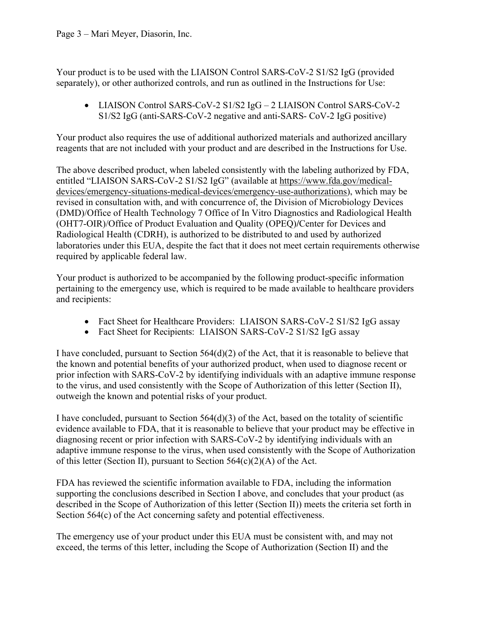Your product is to be used with the LIAISON Control SARS-CoV-2 S1/S2 IgG (provided separately), or other authorized controls, and run as outlined in the Instructions for Use:

• LIAISON Control SARS-CoV-2 S1/S2 IgG – 2 LIAISON Control SARS-CoV-2 S1/S2 IgG (anti-SARS-CoV-2 negative and anti-SARS- CoV-2 IgG positive)

Your product also requires the use of additional authorized materials and authorized ancillary reagents that are not included with your product and are described in the Instructions for Use.

The above described product, when labeled consistently with the labeling authorized by FDA, entitled "LIAISON SARS-CoV-2 S1/S2 IgG" (available at [https://www.fda.gov/medical](https://www.fda.gov/medical-devices/emergency-situations-medical-devices/emergency-use-authorizations)[devices/emergency-situations-medical-devices/emergency-use-authorizations\)](https://www.fda.gov/medical-devices/emergency-situations-medical-devices/emergency-use-authorizations), which may be revised in consultation with, and with concurrence of, the Division of Microbiology Devices (DMD)/Office of Health Technology 7 Office of In Vitro Diagnostics and Radiological Health (OHT7-OIR)/Office of Product Evaluation and Quality (OPEQ)**/**Center for Devices and Radiological Health (CDRH), is authorized to be distributed to and used by authorized laboratories under this EUA, despite the fact that it does not meet certain requirements otherwise required by applicable federal law.

Your product is authorized to be accompanied by the following product-specific information pertaining to the emergency use, which is required to be made available to healthcare providers and recipients:

- Fact Sheet for Healthcare Providers: LIAISON SARS-CoV-2 S1/S2 IgG assay
- Fact Sheet for Recipients: LIAISON SARS-CoV-2 S1/S2 IgG assay

I have concluded, pursuant to Section  $564(d)(2)$  of the Act, that it is reasonable to believe that the known and potential benefits of your authorized product, when used to diagnose recent or prior infection with SARS-CoV-2 by identifying individuals with an adaptive immune response to the virus, and used consistently with the Scope of Authorization of this letter (Section II), outweigh the known and potential risks of your product.

I have concluded, pursuant to Section  $564(d)(3)$  of the Act, based on the totality of scientific evidence available to FDA, that it is reasonable to believe that your product may be effective in diagnosing recent or prior infection with SARS-CoV-2 by identifying individuals with an adaptive immune response to the virus, when used consistently with the Scope of Authorization of this letter (Section II), pursuant to Section  $564(c)(2)(A)$  of the Act.

FDA has reviewed the scientific information available to FDA, including the information supporting the conclusions described in Section I above, and concludes that your product (as described in the Scope of Authorization of this letter (Section II)) meets the criteria set forth in Section 564(c) of the Act concerning safety and potential effectiveness.

The emergency use of your product under this EUA must be consistent with, and may not exceed, the terms of this letter, including the Scope of Authorization (Section II) and the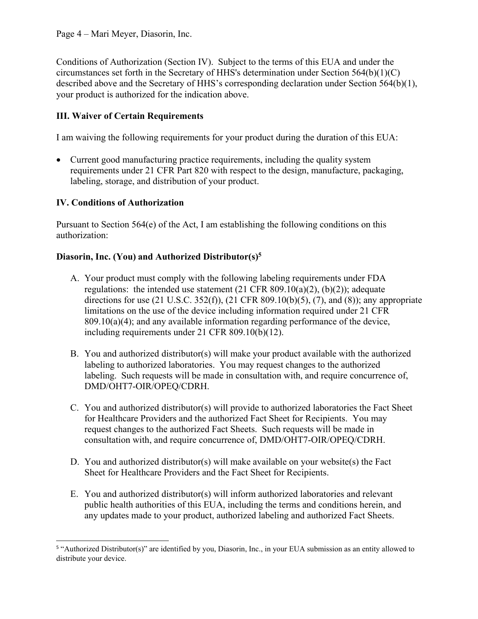Conditions of Authorization (Section IV). Subject to the terms of this EUA and under the circumstances set forth in the Secretary of HHS's determination under Section 564(b)(1)(C) described above and the Secretary of HHS's corresponding declaration under Section 564(b)(1), your product is authorized for the indication above.

# **III. Waiver of Certain Requirements**

I am waiving the following requirements for your product during the duration of this EUA:

• Current good manufacturing practice requirements, including the quality system requirements under 21 CFR Part 820 with respect to the design, manufacture, packaging, labeling, storage, and distribution of your product.

### **IV. Conditions of Authorization**

Pursuant to Section  $564(e)$  of the Act, I am establishing the following conditions on this authorization:

#### **Diasorin, Inc. (You) and Authorized Distributor(s)[5](#page-3-0)**

- A. Your product must comply with the following labeling requirements under FDA regulations: the intended use statement (21 CFR 809.10(a)(2), (b)(2)); adequate directions for use  $(21 \text{ U.S.C. } 352(f)), (21 \text{ CFR } 809.10(b)(5), (7), \text{ and } (8));$  any appropriate limitations on the use of the device including information required under 21 CFR 809.10(a)(4); and any available information regarding performance of the device, including requirements under 21 CFR 809.10(b)(12).
- B. You and authorized distributor(s) will make your product available with the authorized labeling to authorized laboratories. You may request changes to the authorized labeling. Such requests will be made in consultation with, and require concurrence of, DMD/OHT7-OIR/OPEQ/CDRH.
- C. You and authorized distributor(s) will provide to authorized laboratories the Fact Sheet for Healthcare Providers and the authorized Fact Sheet for Recipients. You may request changes to the authorized Fact Sheets. Such requests will be made in consultation with, and require concurrence of, DMD/OHT7-OIR/OPEQ/CDRH.
- D. You and authorized distributor(s) will make available on your website(s) the Fact Sheet for Healthcare Providers and the Fact Sheet for Recipients.
- E. You and authorized distributor(s) will inform authorized laboratories and relevant public health authorities of this EUA, including the terms and conditions herein, and any updates made to your product, authorized labeling and authorized Fact Sheets.

<span id="page-3-0"></span> 5 "Authorized Distributor(s)" are identified by you, Diasorin, Inc., in your EUA submission as an entity allowed to distribute your device.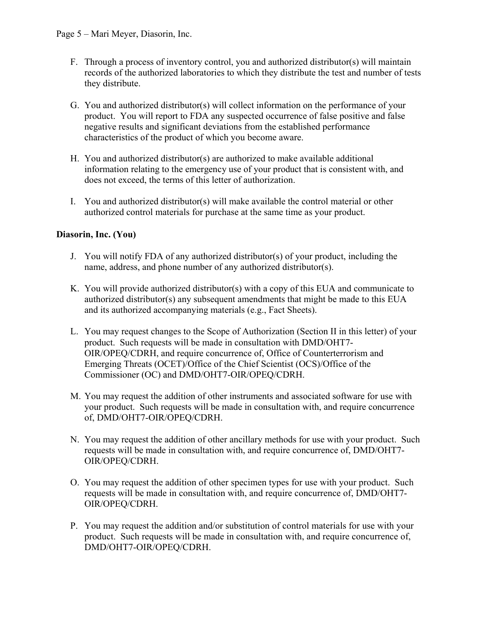- F. Through a process of inventory control, you and authorized distributor(s) will maintain records of the authorized laboratories to which they distribute the test and number of tests they distribute.
- G. You and authorized distributor(s) will collect information on the performance of your product. You will report to FDA any suspected occurrence of false positive and false negative results and significant deviations from the established performance characteristics of the product of which you become aware.
- H. You and authorized distributor(s) are authorized to make available additional information relating to the emergency use of your product that is consistent with, and does not exceed, the terms of this letter of authorization.
- I. You and authorized distributor(s) will make available the control material or other authorized control materials for purchase at the same time as your product.

# **Diasorin, Inc. (You)**

- J. You will notify FDA of any authorized distributor(s) of your product, including the name, address, and phone number of any authorized distributor(s).
- K. You will provide authorized distributor(s) with a copy of this EUA and communicate to authorized distributor(s) any subsequent amendments that might be made to this EUA and its authorized accompanying materials (e.g., Fact Sheets).
- L. You may request changes to the Scope of Authorization (Section II in this letter) of your product. Such requests will be made in consultation with DMD/OHT7- OIR/OPEQ/CDRH, and require concurrence of, Office of Counterterrorism and Emerging Threats (OCET)/Office of the Chief Scientist (OCS)/Office of the Commissioner (OC) and DMD/OHT7-OIR/OPEQ/CDRH.
- M. You may request the addition of other instruments and associated software for use with your product. Such requests will be made in consultation with, and require concurrence of, DMD/OHT7-OIR/OPEQ/CDRH.
- N. You may request the addition of other ancillary methods for use with your product. Such requests will be made in consultation with, and require concurrence of, DMD/OHT7- OIR/OPEQ/CDRH.
- O. You may request the addition of other specimen types for use with your product. Such requests will be made in consultation with, and require concurrence of, DMD/OHT7- OIR/OPEQ/CDRH.
- P. You may request the addition and/or substitution of control materials for use with your product. Such requests will be made in consultation with, and require concurrence of, DMD/OHT7-OIR/OPEQ/CDRH.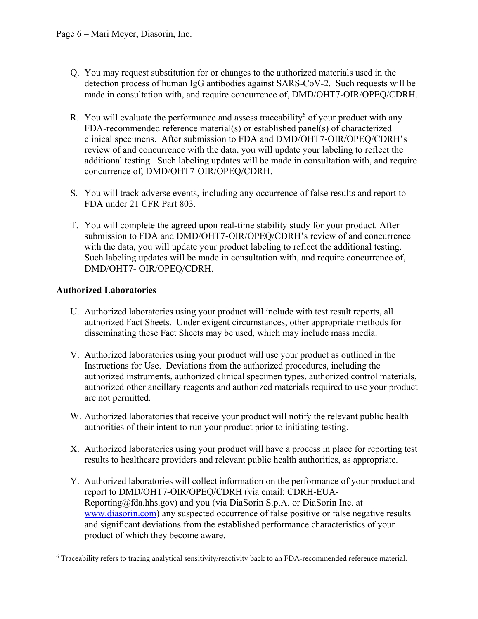- Q. You may request substitution for or changes to the authorized materials used in the detection process of human IgG antibodies against SARS-CoV-2. Such requests will be made in consultation with, and require concurrence of, DMD/OHT7-OIR/OPEQ/CDRH.
- R. You will evaluate the performance and assess traceability<sup>[6](#page-5-0)</sup> of your product with any FDA-recommended reference material(s) or established panel(s) of characterized clinical specimens. After submission to FDA and DMD/OHT7-OIR/OPEQ/CDRH's review of and concurrence with the data, you will update your labeling to reflect the additional testing. Such labeling updates will be made in consultation with, and require concurrence of, DMD/OHT7-OIR/OPEQ/CDRH.
- S. You will track adverse events, including any occurrence of false results and report to FDA under 21 CFR Part 803.
- T. You will complete the agreed upon real-time stability study for your product. After submission to FDA and DMD/OHT7-OIR/OPEQ/CDRH's review of and concurrence with the data, you will update your product labeling to reflect the additional testing. Such labeling updates will be made in consultation with, and require concurrence of, DMD/OHT7- OIR/OPEQ/CDRH.

# **Authorized Laboratories**

- U. Authorized laboratories using your product will include with test result reports, all authorized Fact Sheets. Under exigent circumstances, other appropriate methods for disseminating these Fact Sheets may be used, which may include mass media.
- V. Authorized laboratories using your product will use your product as outlined in the Instructions for Use. Deviations from the authorized procedures, including the authorized instruments, authorized clinical specimen types, authorized control materials, authorized other ancillary reagents and authorized materials required to use your product are not permitted.
- W. Authorized laboratories that receive your product will notify the relevant public health authorities of their intent to run your product prior to initiating testing.
- X. Authorized laboratories using your product will have a process in place for reporting test results to healthcare providers and relevant public health authorities, as appropriate.
- Y. Authorized laboratories will collect information on the performance of your product and report to DMD/OHT7-OIR/OPEQ/CDRH (via email: [CDRH-EUA-](mailto:CDRH-EUA-Reporting@fda.hhs.gov)[Reporting@fda.hhs.gov](mailto:CDRH-EUA-Reporting@fda.hhs.gov)) and you (via DiaSorin S.p.A. or DiaSorin Inc. at [www.diasorin.com](http://www.diasorin.com/)) any suspected occurrence of false positive or false negative results and significant deviations from the established performance characteristics of your product of which they become aware.

<span id="page-5-0"></span> $\overline{a}$ <sup>6</sup> Traceability refers to tracing analytical sensitivity/reactivity back to an FDA-recommended reference material.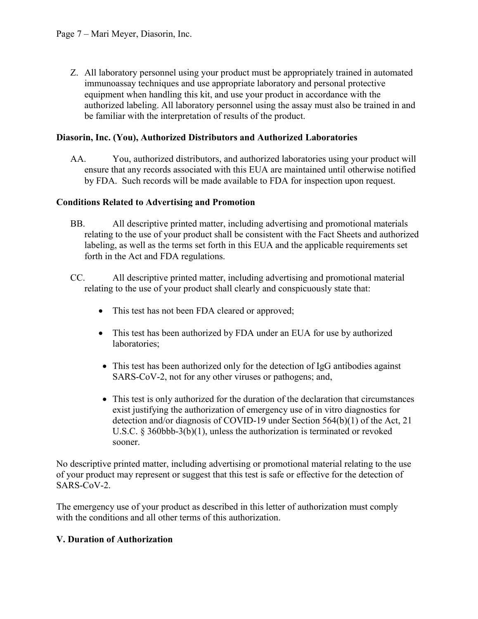Z. All laboratory personnel using your product must be appropriately trained in automated immunoassay techniques and use appropriate laboratory and personal protective equipment when handling this kit, and use your product in accordance with the authorized labeling. All laboratory personnel using the assay must also be trained in and be familiar with the interpretation of results of the product.

### **Diasorin, Inc. (You), Authorized Distributors and Authorized Laboratories**

AA. You, authorized distributors, and authorized laboratories using your product will ensure that any records associated with this EUA are maintained until otherwise notified by FDA. Such records will be made available to FDA for inspection upon request.

### **Conditions Related to Advertising and Promotion**

- BB. All descriptive printed matter, including advertising and promotional materials relating to the use of your product shall be consistent with the Fact Sheets and authorized labeling, as well as the terms set forth in this EUA and the applicable requirements set forth in the Act and FDA regulations.
- CC. All descriptive printed matter, including advertising and promotional material relating to the use of your product shall clearly and conspicuously state that:
	- This test has not been FDA cleared or approved;
	- This test has been authorized by FDA under an EUA for use by authorized laboratories;
	- This test has been authorized only for the detection of IgG antibodies against SARS-CoV-2, not for any other viruses or pathogens; and,
	- This test is only authorized for the duration of the declaration that circumstances exist justifying the authorization of emergency use of in vitro diagnostics for detection and/or diagnosis of COVID-19 under Section 564(b)(1) of the Act, 21 U.S.C. § 360bbb-3(b)(1), unless the authorization is terminated or revoked sooner.

No descriptive printed matter, including advertising or promotional material relating to the use of your product may represent or suggest that this test is safe or effective for the detection of SARS-CoV-2.

The emergency use of your product as described in this letter of authorization must comply with the conditions and all other terms of this authorization.

### **V. Duration of Authorization**